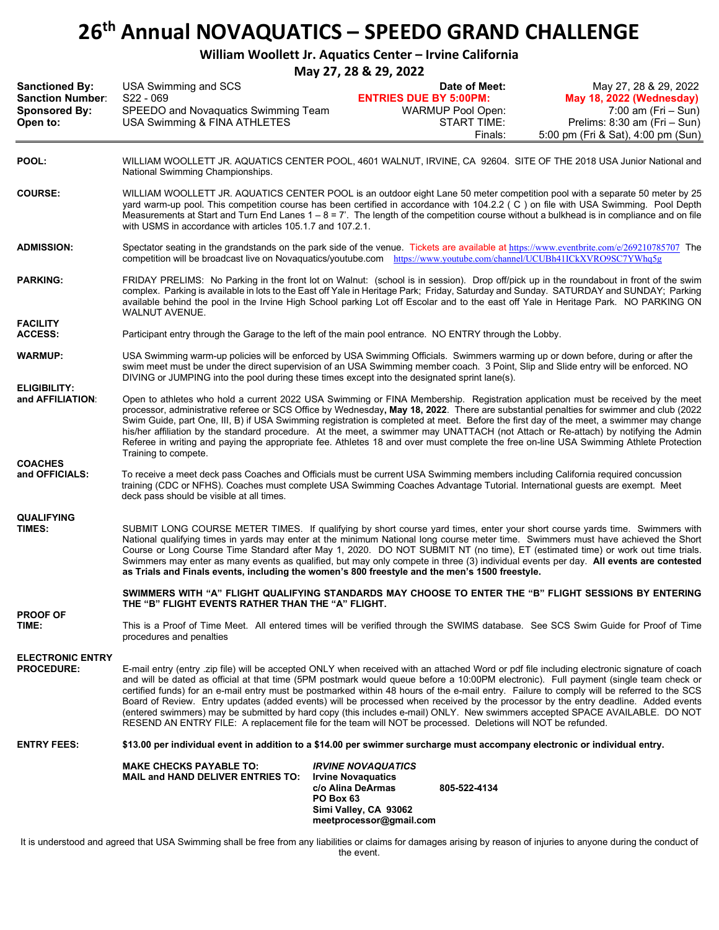# **26th Annual NOVAQUATICS – SPEEDO GRAND CHALLENGE**

|                                                                                      |                                                                                                                                                                                                                                                                                                                                                                                                                                                                                                                                                                                                                                                                                                                               | William Woollett Jr. Aquatics Center - Irvine California                                                    |                                                                                                                                                  |
|--------------------------------------------------------------------------------------|-------------------------------------------------------------------------------------------------------------------------------------------------------------------------------------------------------------------------------------------------------------------------------------------------------------------------------------------------------------------------------------------------------------------------------------------------------------------------------------------------------------------------------------------------------------------------------------------------------------------------------------------------------------------------------------------------------------------------------|-------------------------------------------------------------------------------------------------------------|--------------------------------------------------------------------------------------------------------------------------------------------------|
|                                                                                      |                                                                                                                                                                                                                                                                                                                                                                                                                                                                                                                                                                                                                                                                                                                               | May 27, 28 & 29, 2022                                                                                       |                                                                                                                                                  |
| <b>Sanctioned By:</b><br><b>Sanction Number:</b><br><b>Sponsored By:</b><br>Open to: | USA Swimming and SCS<br>$S22 - 069$<br>SPEEDO and Novaquatics Swimming Team<br>USA Swimming & FINA ATHLETES                                                                                                                                                                                                                                                                                                                                                                                                                                                                                                                                                                                                                   | Date of Meet:<br><b>ENTRIES DUE BY 5:00PM:</b><br><b>WARMUP Pool Open:</b><br><b>START TIME:</b><br>Finals: | May 27, 28 & 29, 2022<br>May 18, 2022 (Wednesday)<br>$7:00$ am (Fri – Sun)<br>Prelims: 8:30 am (Fri - Sun)<br>5:00 pm (Fri & Sat), 4:00 pm (Sun) |
| POOL:                                                                                | WILLIAM WOOLLETT JR. AQUATICS CENTER POOL, 4601 WALNUT, IRVINE, CA 92604. SITE OF THE 2018 USA Junior National and<br>National Swimming Championships.                                                                                                                                                                                                                                                                                                                                                                                                                                                                                                                                                                        |                                                                                                             |                                                                                                                                                  |
| <b>COURSE:</b>                                                                       | WILLIAM WOOLLETT JR. AQUATICS CENTER POOL is an outdoor eight Lane 50 meter competition pool with a separate 50 meter by 25<br>yard warm-up pool. This competition course has been certified in accordance with 104.2.2 (C) on file with USA Swimming. Pool Depth<br>Measurements at Start and Turn End Lanes $1 - 8 = 7'$ . The length of the competition course without a bulkhead is in compliance and on file<br>with USMS in accordance with articles 105.1.7 and 107.2.1.                                                                                                                                                                                                                                               |                                                                                                             |                                                                                                                                                  |
| <b>ADMISSION:</b>                                                                    | Spectator seating in the grandstands on the park side of the venue. Tickets are available at https://www.eventbrite.com/e/269210785707 The<br>competition will be broadcast live on Novaquatics/youtube.com https://www.youtube.com/channel/UCUBh41ICkXVRO9SC7YWhq5g                                                                                                                                                                                                                                                                                                                                                                                                                                                          |                                                                                                             |                                                                                                                                                  |
| <b>PARKING:</b>                                                                      | FRIDAY PRELIMS: No Parking in the front lot on Walnut: (school is in session). Drop off/pick up in the roundabout in front of the swim<br>complex. Parking is available in lots to the East off Yale in Heritage Park; Friday, Saturday and Sunday. SATURDAY and SUNDAY; Parking<br>available behind the pool in the Irvine High School parking Lot off Escolar and to the east off Yale in Heritage Park. NO PARKING ON<br>WALNUT AVENUE.                                                                                                                                                                                                                                                                                    |                                                                                                             |                                                                                                                                                  |
| <b>FACILITY</b><br><b>ACCESS:</b>                                                    | Participant entry through the Garage to the left of the main pool entrance. NO ENTRY through the Lobby.                                                                                                                                                                                                                                                                                                                                                                                                                                                                                                                                                                                                                       |                                                                                                             |                                                                                                                                                  |
| <b>WARMUP:</b>                                                                       | USA Swimming warm-up policies will be enforced by USA Swimming Officials. Swimmers warming up or down before, during or after the<br>swim meet must be under the direct supervision of an USA Swimming member coach. 3 Point, Slip and Slide entry will be enforced. NO<br>DIVING or JUMPING into the pool during these times except into the designated sprint lane(s).                                                                                                                                                                                                                                                                                                                                                      |                                                                                                             |                                                                                                                                                  |
| <b>ELIGIBILITY:</b><br>and AFFILIATION:                                              | Open to athletes who hold a current 2022 USA Swimming or FINA Membership. Registration application must be received by the meet<br>processor, administrative referee or SCS Office by Wednesday, May 18, 2022. There are substantial penalties for swimmer and club (2022<br>Swim Guide, part One, III, B) if USA Swimming registration is completed at meet. Before the first day of the meet, a swimmer may change<br>his/her affiliation by the standard procedure. At the meet, a swimmer may UNATTACH (not Attach or Re-attach) by notifying the Admin<br>Referee in writing and paying the appropriate fee. Athletes 18 and over must complete the free on-line USA Swimming Athlete Protection<br>Training to compete. |                                                                                                             |                                                                                                                                                  |
| <b>COACHES</b><br>and OFFICIALS:                                                     | To receive a meet deck pass Coaches and Officials must be current USA Swimming members including California required concussion<br>training (CDC or NFHS). Coaches must complete USA Swimming Coaches Advantage Tutorial. International guests are exempt. Meet<br>deck pass should be visible at all times.                                                                                                                                                                                                                                                                                                                                                                                                                  |                                                                                                             |                                                                                                                                                  |
| <b>QUALIFYING</b><br><b>TIMES:</b>                                                   | SUBMIT LONG COURSE METER TIMES. If qualifying by short course yard times, enter your short course yards time. Swimmers with<br>National qualifying times in yards may enter at the minimum National long course meter time. Swimmers must have achieved the Short<br>Course or Long Course Time Standard after May 1, 2020. DO NOT SUBMIT NT (no time), ET (estimated time) or work out time trials.                                                                                                                                                                                                                                                                                                                          |                                                                                                             |                                                                                                                                                  |

**SWIMMERS WITH "A" FLIGHT QUALIFYING STANDARDS MAY CHOOSE TO ENTER THE "B" FLIGHT SESSIONS BY ENTERING THE "B" FLIGHT EVENTS RATHER THAN THE "A" FLIGHT.**

Swimmers may enter as many events as qualified, but may only compete in three (3) individual events per day. **All events are contested** 

**PROOF OF** This is a Proof of Time Meet. All entered times will be verified through the SWIMS database. See SCS Swim Guide for Proof of Time procedures and penalties

**as Trials and Finals events, including the women's 800 freestyle and the men's 1500 freestyle.**

**ELECTRONIC ENTRY** E-mail entry (entry .zip file) will be accepted ONLY when received with an attached Word or pdf file including electronic signature of coach and will be dated as official at that time (5PM postmark would queue before a 10:00PM electronic). Full payment (single team check or certified funds) for an e-mail entry must be postmarked within 48 hours of the e-mail entry. Failure to comply will be referred to the SCS Board of Review. Entry updates (added events) will be processed when received by the processor by the entry deadline. Added events (entered swimmers) may be submitted by hard copy (this includes e-mail) ONLY. New swimmers accepted SPACE AVAILABLE. DO NOT RESEND AN ENTRY FILE: A replacement file for the team will NOT be processed. Deletions will NOT be refunded.

**ENTRY FEES: \$13.00 per individual event in addition to a \$14.00 per swimmer surcharge must accompany electronic or individual entry.**

| <b>MAKE CHECKS PAYABLE TO:</b><br><b>MAIL and HAND DELIVER ENTRIES TO:</b> | <b>IRVINE NOVAQUATICS</b><br><b>Irvine Novaguatics</b><br>c/o Alina DeArmas<br>PO Box 63<br>Simi Valley, CA 93062<br>meetprocessor@gmail.com | 805-522-4134 |
|----------------------------------------------------------------------------|----------------------------------------------------------------------------------------------------------------------------------------------|--------------|
|                                                                            |                                                                                                                                              |              |

It is understood and agreed that USA Swimming shall be free from any liabilities or claims for damages arising by reason of injuries to anyone during the conduct of the event.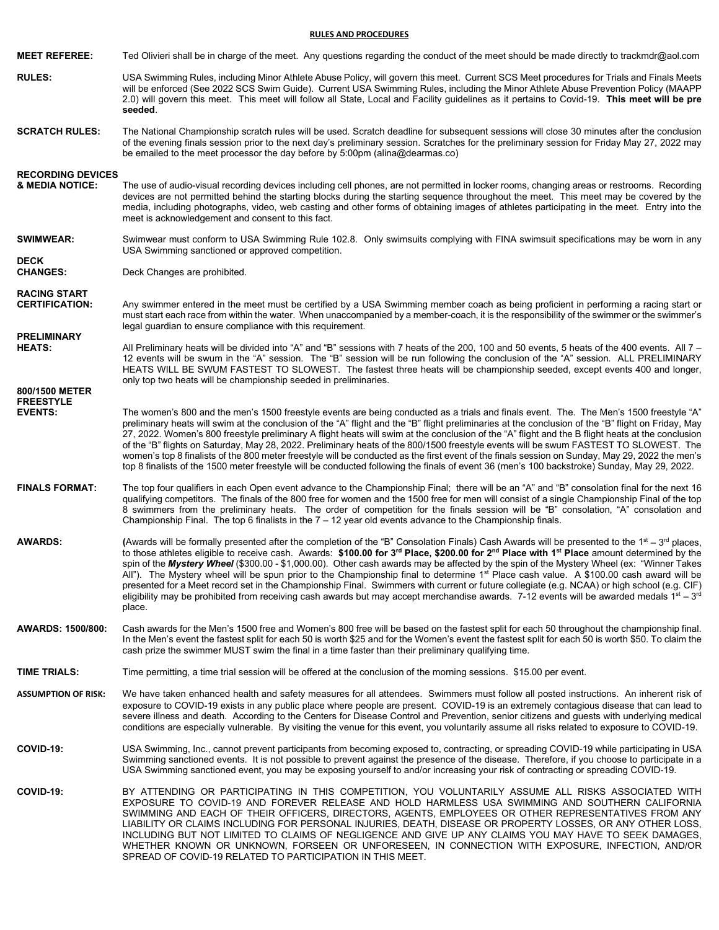#### **RULES AND PROCEDURES**

| <b>MEET REFEREE:</b>                         | Ted Olivieri shall be in charge of the meet. Any questions regarding the conduct of the meet should be made directly to trackmdr@aol.com                                                                                                                                                                                                                                                                                                                                                                                                                                                                                                                                                                                                                                                                                                                                                                                                         |
|----------------------------------------------|--------------------------------------------------------------------------------------------------------------------------------------------------------------------------------------------------------------------------------------------------------------------------------------------------------------------------------------------------------------------------------------------------------------------------------------------------------------------------------------------------------------------------------------------------------------------------------------------------------------------------------------------------------------------------------------------------------------------------------------------------------------------------------------------------------------------------------------------------------------------------------------------------------------------------------------------------|
| <b>RULES:</b>                                | USA Swimming Rules, including Minor Athlete Abuse Policy, will govern this meet. Current SCS Meet procedures for Trials and Finals Meets<br>will be enforced (See 2022 SCS Swim Guide). Current USA Swimming Rules, including the Minor Athlete Abuse Prevention Policy (MAAPP<br>2.0) will govern this meet. This meet will follow all State, Local and Facility guidelines as it pertains to Covid-19. This meet will be pre<br>seeded.                                                                                                                                                                                                                                                                                                                                                                                                                                                                                                        |
| <b>SCRATCH RULES:</b>                        | The National Championship scratch rules will be used. Scratch deadline for subsequent sessions will close 30 minutes after the conclusion<br>of the evening finals session prior to the next day's preliminary session. Scratches for the preliminary session for Friday May 27, 2022 may<br>be emailed to the meet processor the day before by 5:00pm (alina@dearmas.co)                                                                                                                                                                                                                                                                                                                                                                                                                                                                                                                                                                        |
| <b>RECORDING DEVICES</b><br>& MEDIA NOTICE:  | The use of audio-visual recording devices including cell phones, are not permitted in locker rooms, changing areas or restrooms. Recording<br>devices are not permitted behind the starting blocks during the starting sequence throughout the meet. This meet may be covered by the<br>media, including photographs, video, web casting and other forms of obtaining images of athletes participating in the meet. Entry into the<br>meet is acknowledgement and consent to this fact.                                                                                                                                                                                                                                                                                                                                                                                                                                                          |
| <b>SWIMWEAR:</b>                             | Swimwear must conform to USA Swimming Rule 102.8. Only swimsuits complying with FINA swimsuit specifications may be worn in any<br>USA Swimming sanctioned or approved competition.                                                                                                                                                                                                                                                                                                                                                                                                                                                                                                                                                                                                                                                                                                                                                              |
| <b>DECK</b><br><b>CHANGES:</b>               | Deck Changes are prohibited.                                                                                                                                                                                                                                                                                                                                                                                                                                                                                                                                                                                                                                                                                                                                                                                                                                                                                                                     |
| <b>RACING START</b><br><b>CERTIFICATION:</b> | Any swimmer entered in the meet must be certified by a USA Swimming member coach as being proficient in performing a racing start or<br>must start each race from within the water. When unaccompanied by a member-coach, it is the responsibility of the swimmer or the swimmer's<br>legal guardian to ensure compliance with this requirement.                                                                                                                                                                                                                                                                                                                                                                                                                                                                                                                                                                                                 |
| <b>PRELIMINARY</b><br><b>HEATS:</b>          | All Preliminary heats will be divided into "A" and "B" sessions with 7 heats of the 200, 100 and 50 events, 5 heats of the 400 events. All 7 -<br>12 events will be swum in the "A" session. The "B" session will be run following the conclusion of the "A" session. ALL PRELIMINARY<br>HEATS WILL BE SWUM FASTEST TO SLOWEST. The fastest three heats will be championship seeded, except events 400 and longer,<br>only top two heats will be championship seeded in preliminaries.                                                                                                                                                                                                                                                                                                                                                                                                                                                           |
| 800/1500 METER<br><b>FREESTYLE</b>           |                                                                                                                                                                                                                                                                                                                                                                                                                                                                                                                                                                                                                                                                                                                                                                                                                                                                                                                                                  |
| <b>EVENTS:</b>                               | The women's 800 and the men's 1500 freestyle events are being conducted as a trials and finals event. The. The Men's 1500 freestyle "A"<br>preliminary heats will swim at the conclusion of the "A" flight and the "B" flight preliminaries at the conclusion of the "B" flight on Friday, May<br>27, 2022. Women's 800 freestyle preliminary A flight heats will swim at the conclusion of the "A" flight and the B flight heats at the conclusion<br>of the "B" flights on Saturday, May 28, 2022. Preliminary heats of the 800/1500 freestyle events will be swum FASTEST TO SLOWEST. The<br>women's top 8 finalists of the 800 meter freestyle will be conducted as the first event of the finals session on Sunday, May 29, 2022 the men's<br>top 8 finalists of the 1500 meter freestyle will be conducted following the finals of event 36 (men's 100 backstroke) Sunday, May 29, 2022.                                                   |
| <b>FINALS FORMAT:</b>                        | The top four qualifiers in each Open event advance to the Championship Final; there will be an "A" and "B" consolation final for the next 16<br>qualifying competitors. The finals of the 800 free for women and the 1500 free for men will consist of a single Championship Final of the top<br>8 swimmers from the preliminary heats. The order of competition for the finals session will be "B" consolation, "A" consolation and<br>Championship Final. The top 6 finalists in the 7 - 12 year old events advance to the Championship finals.                                                                                                                                                                                                                                                                                                                                                                                                |
| <b>AWARDS:</b>                               | (Awards will be formally presented after the completion of the "B" Consolation Finals) Cash Awards will be presented to the $1st - 3rd$ places,<br>to those athletes eligible to receive cash. Awards: \$100.00 for 3 <sup>rd</sup> Place, \$200.00 for 2 <sup>nd</sup> Place with 1 <sup>st</sup> Place amount determined by the<br>spin of the Mystery Wheel (\$300.00 - \$1,000.00). Other cash awards may be affected by the spin of the Mystery Wheel (ex: "Winner Takes<br>All"). The Mystery wheel will be spun prior to the Championship final to determine 1 <sup>st</sup> Place cash value. A \$100.00 cash award will be<br>presented for a Meet record set in the Championship Final. Swimmers with current or future collegiate (e.g. NCAA) or high school (e.g. CIF)<br>eligibility may be prohibited from receiving cash awards but may accept merchandise awards. 7-12 events will be awarded medals $1^{st} - 3^{rd}$<br>place. |
| AWARDS: 1500/800:                            | Cash awards for the Men's 1500 free and Women's 800 free will be based on the fastest split for each 50 throughout the championship final.<br>In the Men's event the fastest split for each 50 is worth \$25 and for the Women's event the fastest split for each 50 is worth \$50. To claim the<br>cash prize the swimmer MUST swim the final in a time faster than their preliminary qualifying time.                                                                                                                                                                                                                                                                                                                                                                                                                                                                                                                                          |
| <b>TIME TRIALS:</b>                          | Time permitting, a time trial session will be offered at the conclusion of the morning sessions. \$15.00 per event.                                                                                                                                                                                                                                                                                                                                                                                                                                                                                                                                                                                                                                                                                                                                                                                                                              |
| <b>ASSUMPTION OF RISK:</b>                   | We have taken enhanced health and safety measures for all attendees. Swimmers must follow all posted instructions. An inherent risk of<br>exposure to COVID-19 exists in any public place where people are present. COVID-19 is an extremely contagious disease that can lead to<br>severe illness and death. According to the Centers for Disease Control and Prevention, senior citizens and guests with underlying medical<br>conditions are especially vulnerable. By visiting the venue for this event, you voluntarily assume all risks related to exposure to COVID-19.                                                                                                                                                                                                                                                                                                                                                                   |
| COVID-19:                                    | USA Swimming, Inc., cannot prevent participants from becoming exposed to, contracting, or spreading COVID-19 while participating in USA<br>Swimming sanctioned events. It is not possible to prevent against the presence of the disease. Therefore, if you choose to participate in a<br>USA Swimming sanctioned event, you may be exposing yourself to and/or increasing your risk of contracting or spreading COVID-19.                                                                                                                                                                                                                                                                                                                                                                                                                                                                                                                       |
| COVID-19:                                    | BY ATTENDING OR PARTICIPATING IN THIS COMPETITION, YOU VOLUNTARILY ASSUME ALL RISKS ASSOCIATED WITH<br>EXPOSURE TO COVID-19 AND FOREVER RELEASE AND HOLD HARMLESS USA SWIMMING AND SOUTHERN CALIFORNIA<br>SWIMMING AND EACH OF THEIR OFFICERS, DIRECTORS, AGENTS, EMPLOYEES OR OTHER REPRESENTATIVES FROM ANY<br>LIABILITY OR CLAIMS INCLUDING FOR PERSONAL INJURIES, DEATH, DISEASE OR PROPERTY LOSSES, OR ANY OTHER LOSS,<br>INCLUDING BUT NOT LIMITED TO CLAIMS OF NEGLIGENCE AND GIVE UP ANY CLAIMS YOU MAY HAVE TO SEEK DAMAGES,<br>WHETHER KNOWN OR UNKNOWN, FORSEEN OR UNFORESEEN, IN CONNECTION WITH EXPOSURE, INFECTION, AND/OR<br>SPREAD OF COVID-19 RELATED TO PARTICIPATION IN THIS MEET.                                                                                                                                                                                                                                            |